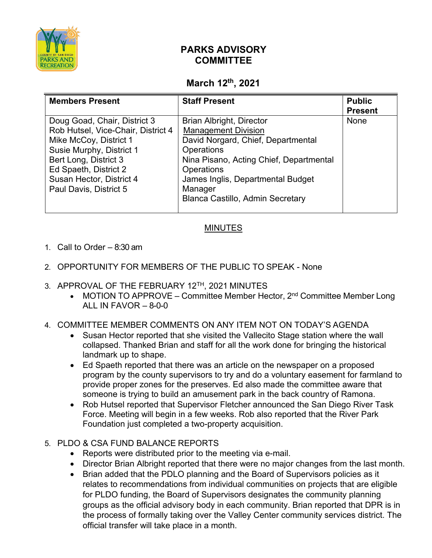

# **PARKS ADVISORY COMMITTEE**

## **March 12th, 2021**

| <b>Members Present</b>                                                                                                                                                                                                           | <b>Staff Present</b>                                                                                                                                                                                                                                                  | <b>Public</b><br><b>Present</b> |
|----------------------------------------------------------------------------------------------------------------------------------------------------------------------------------------------------------------------------------|-----------------------------------------------------------------------------------------------------------------------------------------------------------------------------------------------------------------------------------------------------------------------|---------------------------------|
| Doug Goad, Chair, District 3<br>Rob Hutsel, Vice-Chair, District 4<br>Mike McCoy, District 1<br>Susie Murphy, District 1<br>Bert Long, District 3<br>Ed Spaeth, District 2<br>Susan Hector, District 4<br>Paul Davis, District 5 | <b>Brian Albright, Director</b><br><b>Management Division</b><br>David Norgard, Chief, Departmental<br>Operations<br>Nina Pisano, Acting Chief, Departmental<br>Operations<br>James Inglis, Departmental Budget<br>Manager<br><b>Blanca Castillo, Admin Secretary</b> | None                            |

### MINUTES

- 1. Call to Order 8:30 am
- 2. OPPORTUNITY FOR MEMBERS OF THE PUBLIC TO SPEAK None
- 3. APPROVAL OF THE FEBRUARY 12TH, 2021 MINUTES
	- MOTION TO APPROVE Committee Member Hector,  $2^{nd}$  Committee Member Long ALL IN FAVOR  $-8-0-0$

### 4. COMMITTEE MEMBER COMMENTS ON ANY ITEM NOT ON TODAY'S AGENDA

- Susan Hector reported that she visited the Vallecito Stage station where the wall collapsed. Thanked Brian and staff for all the work done for bringing the historical landmark up to shape.
- Ed Spaeth reported that there was an article on the newspaper on a proposed program by the county supervisors to try and do a voluntary easement for farmland to provide proper zones for the preserves. Ed also made the committee aware that someone is trying to build an amusement park in the back country of Ramona.
- Rob Hutsel reported that Supervisor Fletcher announced the San Diego River Task Force. Meeting will begin in a few weeks. Rob also reported that the River Park Foundation just completed a two-property acquisition.

### 5. PLDO & CSA FUND BALANCE REPORTS

- Reports were distributed prior to the meeting via e-mail.
- Director Brian Albright reported that there were no major changes from the last month.
- Brian added that the PDLO planning and the Board of Supervisors policies as it relates to recommendations from individual communities on projects that are eligible for PLDO funding, the Board of Supervisors designates the community planning groups as the official advisory body in each community. Brian reported that DPR is in the process of formally taking over the Valley Center community services district. The official transfer will take place in a month.